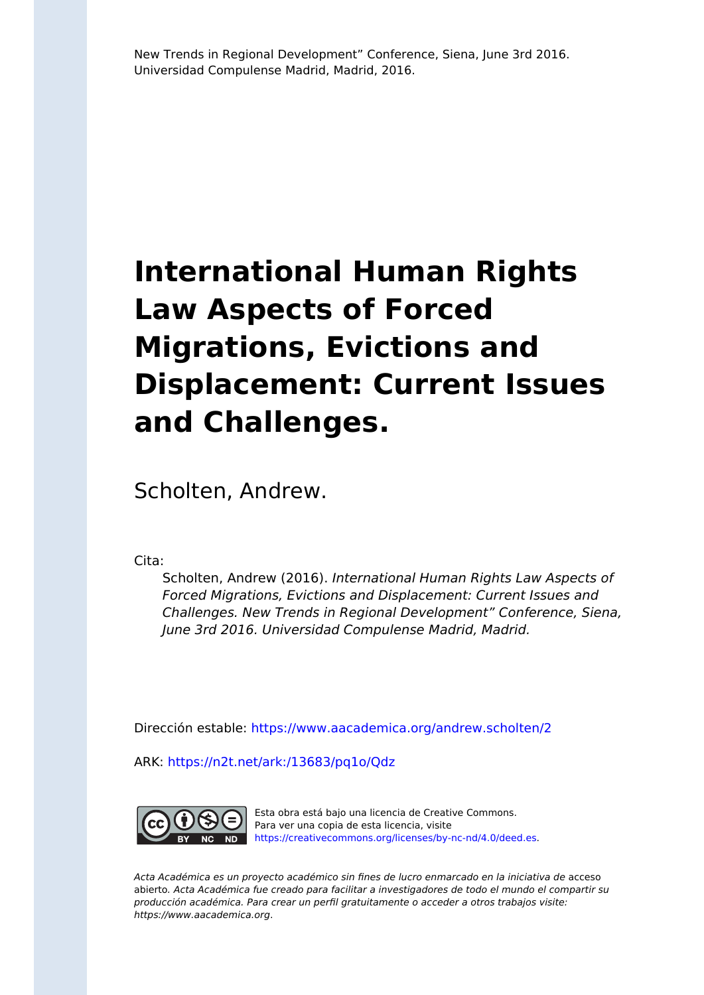# **International Human Rights Law Aspects of Forced Migrations, Evictions and Displacement: Current Issues and Challenges.**

Scholten, Andrew.

Cita:

Scholten, Andrew (2016). International Human Rights Law Aspects of Forced Migrations, Evictions and Displacement: Current Issues and Challenges. New Trends in Regional Development" Conference, Siena, June 3rd 2016. Universidad Compulense Madrid, Madrid.

Dirección estable:<https://www.aacademica.org/andrew.scholten/2>

ARK: <https://n2t.net/ark:/13683/pq1o/Qdz>



Esta obra está bajo una licencia de Creative Commons. Para ver una copia de esta licencia, visite [https://creativecommons.org/licenses/by-nc-nd/4.0/deed.es.](https://creativecommons.org/licenses/by-nc-nd/4.0/deed.es)

Acta Académica es un proyecto académico sin fines de lucro enmarcado en la iniciativa de acceso abierto. Acta Académica fue creado para facilitar a investigadores de todo el mundo el compartir su producción académica. Para crear un perfil gratuitamente o acceder a otros trabajos visite: https://www.aacademica.org.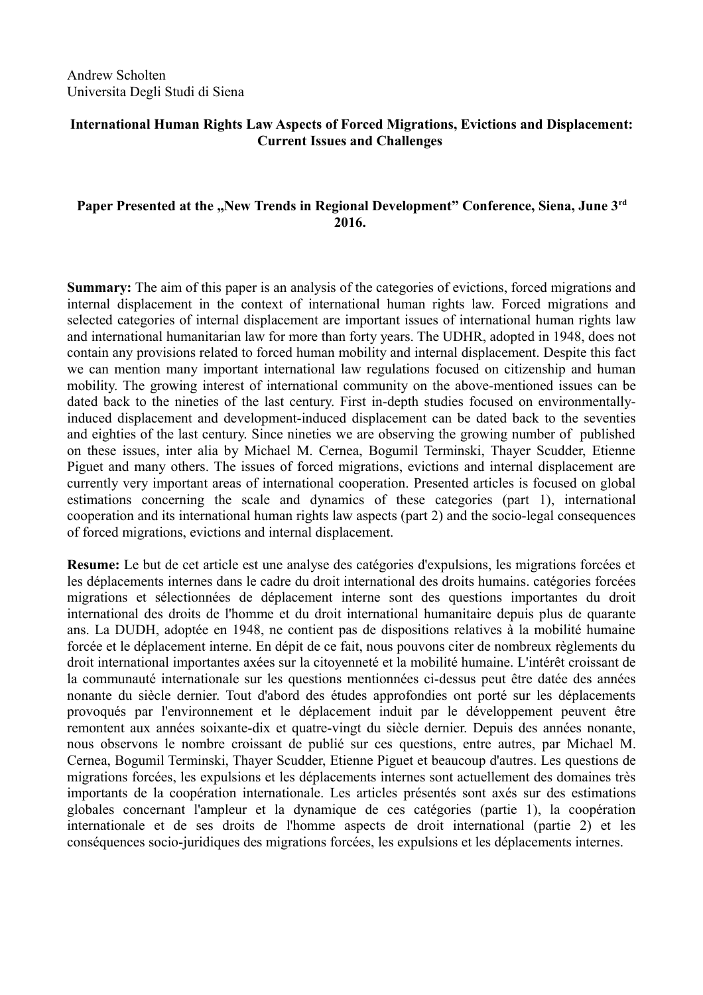### **International Human Rights Law Aspects of Forced Migrations, Evictions and Displacement: Current Issues and Challenges**

## Paper Presented at the "New Trends in Regional Development" Conference, Siena, June 3<sup>rd</sup> **2016.**

**Summary:** The aim of this paper is an analysis of the categories of evictions, forced migrations and internal displacement in the context of international human rights law. Forced migrations and selected categories of internal displacement are important issues of international human rights law and international humanitarian law for more than forty years. The UDHR, adopted in 1948, does not contain any provisions related to forced human mobility and internal displacement. Despite this fact we can mention many important international law regulations focused on citizenship and human mobility. The growing interest of international community on the above-mentioned issues can be dated back to the nineties of the last century. First in-depth studies focused on environmentallyinduced displacement and development-induced displacement can be dated back to the seventies and eighties of the last century. Since nineties we are observing the growing number of published on these issues, inter alia by Michael M. Cernea, Bogumil Terminski, Thayer Scudder, Etienne Piguet and many others. The issues of forced migrations, evictions and internal displacement are currently very important areas of international cooperation. Presented articles is focused on global estimations concerning the scale and dynamics of these categories (part 1), international cooperation and its international human rights law aspects (part 2) and the socio-legal consequences of forced migrations, evictions and internal displacement.

**Resume:** Le but de cet article est une analyse des catégories d'expulsions, les migrations forcées et les déplacements internes dans le cadre du droit international des droits humains. catégories forcées migrations et sélectionnées de déplacement interne sont des questions importantes du droit international des droits de l'homme et du droit international humanitaire depuis plus de quarante ans. La DUDH, adoptée en 1948, ne contient pas de dispositions relatives à la mobilité humaine forcée et le déplacement interne. En dépit de ce fait, nous pouvons citer de nombreux règlements du droit international importantes axées sur la citoyenneté et la mobilité humaine. L'intérêt croissant de la communauté internationale sur les questions mentionnées ci-dessus peut être datée des années nonante du siècle dernier. Tout d'abord des études approfondies ont porté sur les déplacements provoqués par l'environnement et le déplacement induit par le développement peuvent être remontent aux années soixante-dix et quatre-vingt du siècle dernier. Depuis des années nonante, nous observons le nombre croissant de publié sur ces questions, entre autres, par Michael M. Cernea, Bogumil Terminski, Thayer Scudder, Etienne Piguet et beaucoup d'autres. Les questions de migrations forcées, les expulsions et les déplacements internes sont actuellement des domaines très importants de la coopération internationale. Les articles présentés sont axés sur des estimations globales concernant l'ampleur et la dynamique de ces catégories (partie 1), la coopération internationale et de ses droits de l'homme aspects de droit international (partie 2) et les conséquences socio-juridiques des migrations forcées, les expulsions et les déplacements internes.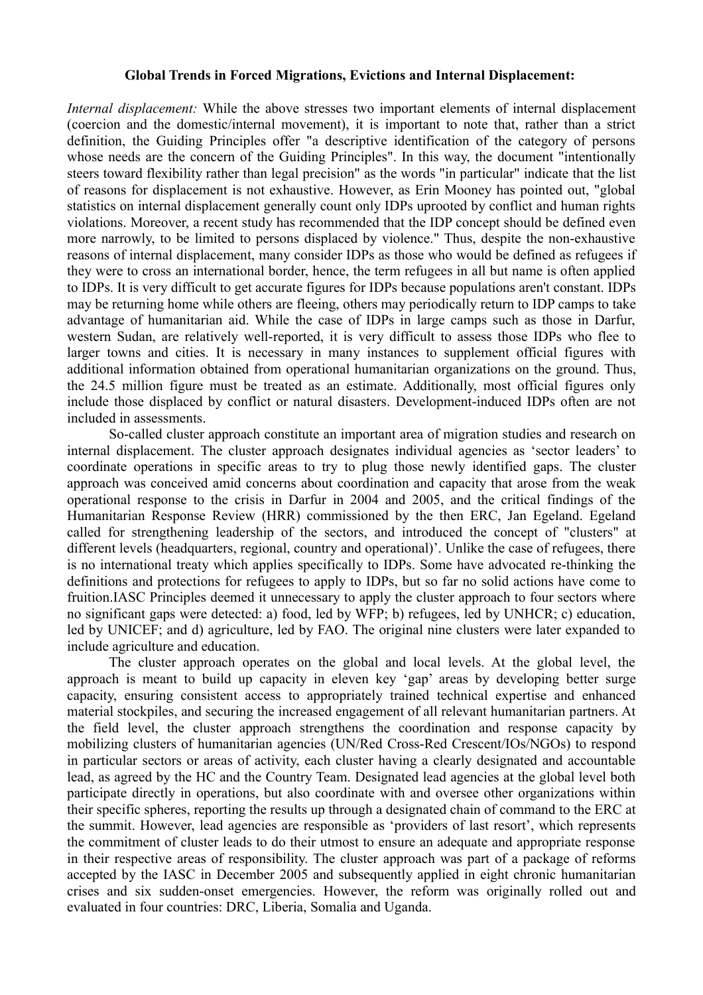#### **Global Trends in Forced Migrations, Evictions and Internal Displacement:**

*Internal displacement:* While the above stresses two important elements of internal displacement (coercion and the domestic/internal movement), it is important to note that, rather than a strict definition, the Guiding Principles offer "a descriptive identification of the category of persons whose needs are the concern of the Guiding Principles". In this way, the document "intentionally steers toward flexibility rather than legal precision" as the words "in particular" indicate that the list of reasons for displacement is not exhaustive. However, as Erin Mooney has pointed out, "global statistics on internal displacement generally count only IDPs uprooted by conflict and human rights violations. Moreover, a recent study has recommended that the IDP concept should be defined even more narrowly, to be limited to persons displaced by violence." Thus, despite the non-exhaustive reasons of internal displacement, many consider IDPs as those who would be defined as refugees if they were to cross an international border, hence, the term refugees in all but name is often applied to IDPs. It is very difficult to get accurate figures for IDPs because populations aren't constant. IDPs may be returning home while others are fleeing, others may periodically return to IDP camps to take advantage of humanitarian aid. While the case of IDPs in large camps such as those in Darfur, western Sudan, are relatively well-reported, it is very difficult to assess those IDPs who flee to larger towns and cities. It is necessary in many instances to supplement official figures with additional information obtained from operational humanitarian organizations on the ground. Thus, the 24.5 million figure must be treated as an estimate. Additionally, most official figures only include those displaced by conflict or natural disasters. Development-induced IDPs often are not included in assessments.

So-called cluster approach constitute an important area of migration studies and research on internal displacement. The cluster approach designates individual agencies as 'sector leaders' to coordinate operations in specific areas to try to plug those newly identified gaps. The cluster approach was conceived amid concerns about coordination and capacity that arose from the weak operational response to the crisis in Darfur in 2004 and 2005, and the critical findings of the Humanitarian Response Review (HRR) commissioned by the then ERC, Jan Egeland. Egeland called for strengthening leadership of the sectors, and introduced the concept of "clusters" at different levels (headquarters, regional, country and operational)'. Unlike the case of refugees, there is no international treaty which applies specifically to IDPs. Some have advocated re-thinking the definitions and protections for refugees to apply to IDPs, but so far no solid actions have come to fruition.IASC Principles deemed it unnecessary to apply the cluster approach to four sectors where no significant gaps were detected: a) food, led by WFP; b) refugees, led by UNHCR; c) education, led by UNICEF; and d) agriculture, led by FAO. The original nine clusters were later expanded to include agriculture and education.

The cluster approach operates on the global and local levels. At the global level, the approach is meant to build up capacity in eleven key 'gap' areas by developing better surge capacity, ensuring consistent access to appropriately trained technical expertise and enhanced material stockpiles, and securing the increased engagement of all relevant humanitarian partners. At the field level, the cluster approach strengthens the coordination and response capacity by mobilizing clusters of humanitarian agencies (UN/Red Cross-Red Crescent/IOs/NGOs) to respond in particular sectors or areas of activity, each cluster having a clearly designated and accountable lead, as agreed by the HC and the Country Team. Designated lead agencies at the global level both participate directly in operations, but also coordinate with and oversee other organizations within their specific spheres, reporting the results up through a designated chain of command to the ERC at the summit. However, lead agencies are responsible as 'providers of last resort', which represents the commitment of cluster leads to do their utmost to ensure an adequate and appropriate response in their respective areas of responsibility. The cluster approach was part of a package of reforms accepted by the IASC in December 2005 and subsequently applied in eight chronic humanitarian crises and six sudden-onset emergencies. However, the reform was originally rolled out and evaluated in four countries: DRC, Liberia, Somalia and Uganda.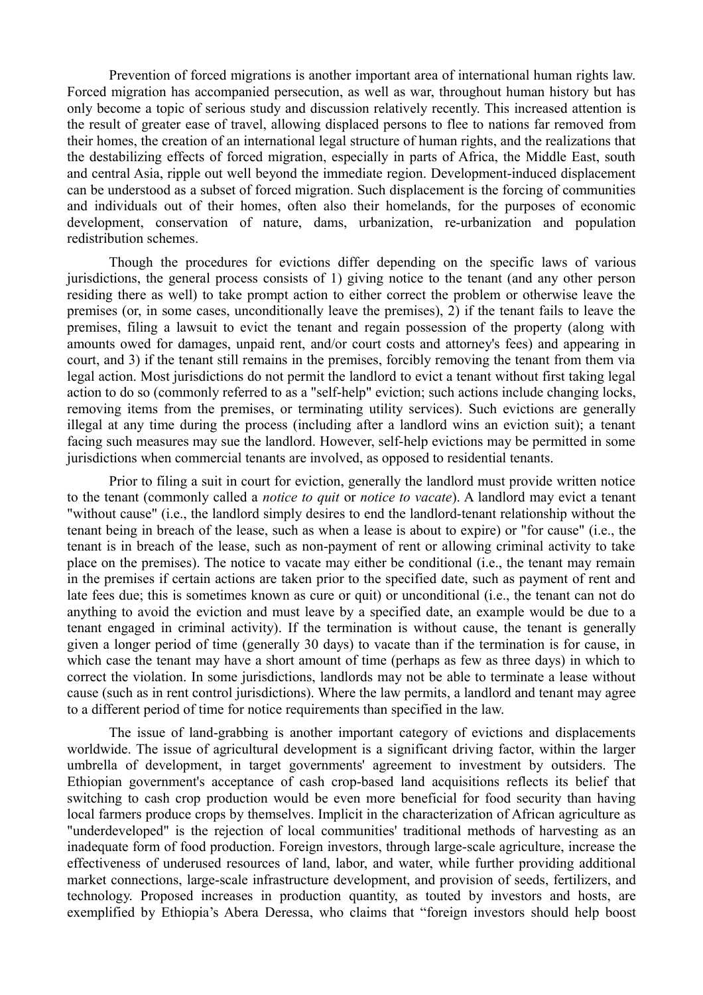Prevention of forced migrations is another important area of international human rights law. Forced migration has accompanied persecution, as well as war, throughout human history but has only become a topic of serious study and discussion relatively recently. This increased attention is the result of greater ease of travel, allowing displaced persons to flee to nations far removed from their homes, the creation of an international legal structure of human rights, and the realizations that the destabilizing effects of forced migration, especially in parts of Africa, the Middle East, south and central Asia, ripple out well beyond the immediate region. Development-induced displacement can be understood as a subset of forced migration. Such displacement is the forcing of communities and individuals out of their homes, often also their homelands, for the purposes of economic development, conservation of nature, dams, urbanization, re-urbanization and population redistribution schemes.

Though the procedures for evictions differ depending on the specific laws of various jurisdictions, the general process consists of 1) giving notice to the tenant (and any other person residing there as well) to take prompt action to either correct the problem or otherwise leave the premises (or, in some cases, unconditionally leave the premises), 2) if the tenant fails to leave the premises, filing a lawsuit to evict the tenant and regain possession of the property (along with amounts owed for damages, unpaid rent, and/or court costs and attorney's fees) and appearing in court, and 3) if the tenant still remains in the premises, forcibly removing the tenant from them via legal action. Most jurisdictions do not permit the landlord to evict a tenant without first taking legal action to do so (commonly referred to as a "self-help" eviction; such actions include changing locks, removing items from the premises, or terminating utility services). Such evictions are generally illegal at any time during the process (including after a landlord wins an eviction suit); a tenant facing such measures may sue the landlord. However, self-help evictions may be permitted in some jurisdictions when commercial tenants are involved, as opposed to residential tenants.

Prior to filing a suit in court for eviction, generally the landlord must provide written notice to the tenant (commonly called a *notice to quit* or *notice to vacate*). A landlord may evict a tenant "without cause" (i.e., the landlord simply desires to end the landlord-tenant relationship without the tenant being in breach of the lease, such as when a lease is about to expire) or "for cause" (i.e., the tenant is in breach of the lease, such as non-payment of rent or allowing criminal activity to take place on the premises). The notice to vacate may either be conditional (i.e., the tenant may remain in the premises if certain actions are taken prior to the specified date, such as payment of rent and late fees due; this is sometimes known as cure or quit) or unconditional (i.e., the tenant can not do anything to avoid the eviction and must leave by a specified date, an example would be due to a tenant engaged in criminal activity). If the termination is without cause, the tenant is generally given a longer period of time (generally 30 days) to vacate than if the termination is for cause, in which case the tenant may have a short amount of time (perhaps as few as three days) in which to correct the violation. In some jurisdictions, landlords may not be able to terminate a lease without cause (such as in rent control jurisdictions). Where the law permits, a landlord and tenant may agree to a different period of time for notice requirements than specified in the law.

The issue of land-grabbing is another important category of evictions and displacements worldwide. The issue of agricultural development is a significant driving factor, within the larger umbrella of development, in target governments' agreement to investment by outsiders. The Ethiopian government's acceptance of cash crop-based land acquisitions reflects its belief that switching to cash crop production would be even more beneficial for food security than having local farmers produce crops by themselves. Implicit in the characterization of African agriculture as "underdeveloped" is the rejection of local communities' traditional methods of harvesting as an inadequate form of food production. Foreign investors, through large-scale agriculture, increase the effectiveness of underused resources of land, labor, and water, while further providing additional market connections, large-scale infrastructure development, and provision of seeds, fertilizers, and technology. Proposed increases in production quantity, as touted by investors and hosts, are exemplified by Ethiopia's Abera Deressa, who claims that "foreign investors should help boost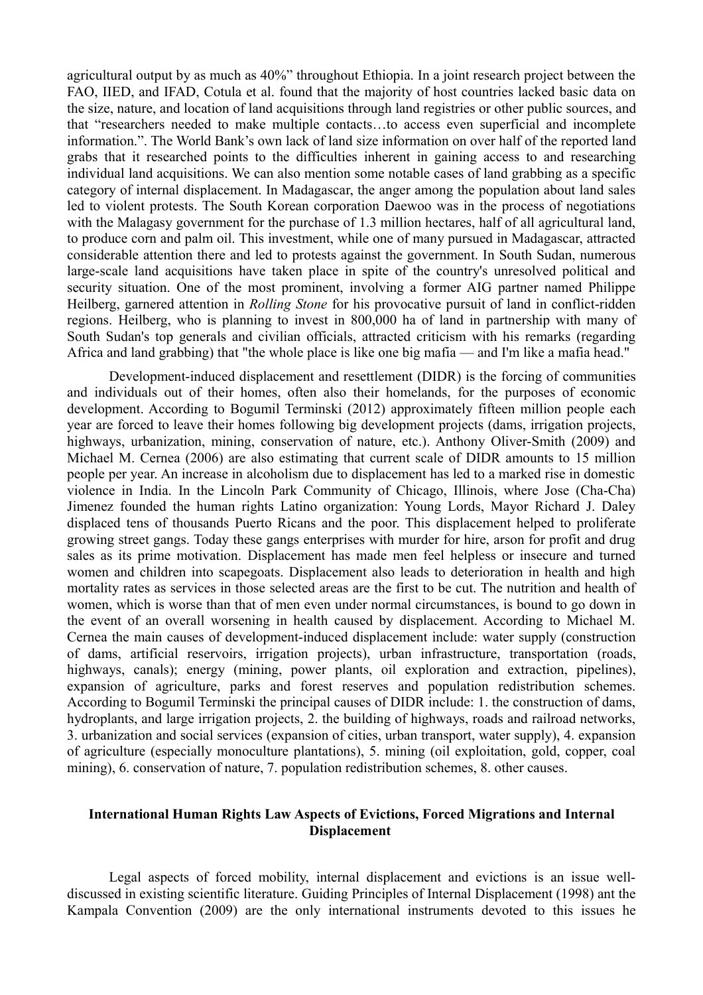agricultural output by as much as 40%" throughout Ethiopia. In a joint research project between the FAO, IIED, and IFAD, Cotula et al. found that the majority of host countries lacked basic data on the size, nature, and location of land acquisitions through land registries or other public sources, and that "researchers needed to make multiple contacts…to access even superficial and incomplete information.". The World Bank's own lack of land size information on over half of the reported land grabs that it researched points to the difficulties inherent in gaining access to and researching individual land acquisitions. We can also mention some notable cases of land grabbing as a specific category of internal displacement. In Madagascar, the anger among the population about land sales led to violent protests. The South Korean corporation Daewoo was in the process of negotiations with the Malagasy government for the purchase of 1.3 million hectares, half of all agricultural land, to produce corn and palm oil. This investment, while one of many pursued in Madagascar, attracted considerable attention there and led to protests against the government. In South Sudan, numerous large-scale land acquisitions have taken place in spite of the country's unresolved political and security situation. One of the most prominent, involving a former AIG partner named Philippe Heilberg, garnered attention in *Rolling Stone* for his provocative pursuit of land in conflict-ridden regions. Heilberg, who is planning to invest in 800,000 ha of land in partnership with many of South Sudan's top generals and civilian officials, attracted criticism with his remarks (regarding Africa and land grabbing) that "the whole place is like one big mafia — and I'm like a mafia head."

Development-induced displacement and resettlement (DIDR) is the forcing of communities and individuals out of their homes, often also their homelands, for the purposes of economic development. According to Bogumil Terminski (2012) approximately fifteen million people each year are forced to leave their homes following big development projects (dams, irrigation projects, highways, urbanization, mining, conservation of nature, etc.). Anthony Oliver-Smith (2009) and Michael M. Cernea (2006) are also estimating that current scale of DIDR amounts to 15 million people per year. An increase in alcoholism due to displacement has led to a marked rise in domestic violence in India. In the Lincoln Park Community of Chicago, Illinois, where Jose (Cha-Cha) Jimenez founded the human rights Latino organization: Young Lords, Mayor Richard J. Daley displaced tens of thousands Puerto Ricans and the poor. This displacement helped to proliferate growing street gangs. Today these gangs enterprises with murder for hire, arson for profit and drug sales as its prime motivation. Displacement has made men feel helpless or insecure and turned women and children into scapegoats. Displacement also leads to deterioration in health and high mortality rates as services in those selected areas are the first to be cut. The nutrition and health of women, which is worse than that of men even under normal circumstances, is bound to go down in the event of an overall worsening in health caused by displacement. According to Michael M. Cernea the main causes of development-induced displacement include: water supply (construction of dams, artificial reservoirs, irrigation projects), urban infrastructure, transportation (roads, highways, canals); energy (mining, power plants, oil exploration and extraction, pipelines), expansion of agriculture, parks and forest reserves and population redistribution schemes. According to Bogumil Terminski the principal causes of DIDR include: 1. the construction of dams, hydroplants, and large irrigation projects, 2. the building of highways, roads and railroad networks, 3. urbanization and social services (expansion of cities, urban transport, water supply), 4. expansion of agriculture (especially monoculture plantations), 5. mining (oil exploitation, gold, copper, coal mining), 6. conservation of nature, 7. population redistribution schemes, 8. other causes.

# **International Human Rights Law Aspects of Evictions, Forced Migrations and Internal Displacement**

Legal aspects of forced mobility, internal displacement and evictions is an issue welldiscussed in existing scientific literature. Guiding Principles of Internal Displacement (1998) ant the Kampala Convention (2009) are the only international instruments devoted to this issues he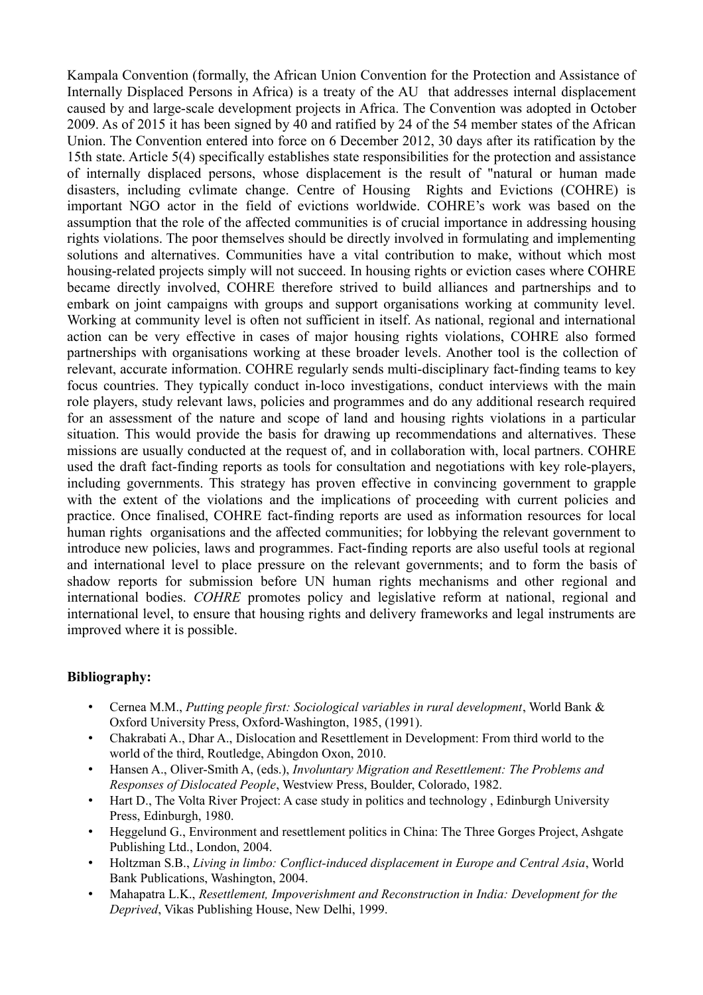Kampala Convention (formally, the African Union Convention for the Protection and Assistance of Internally Displaced Persons in Africa) is a treaty of the AU that addresses internal displacement caused by and large-scale development projects in Africa. The Convention was adopted in October 2009. As of 2015 it has been signed by 40 and ratified by 24 of the 54 member states of the African Union. The Convention entered into force on 6 December 2012, 30 days after its ratification by the 15th state. Article 5(4) specifically establishes state responsibilities for the protection and assistance of internally displaced persons, whose displacement is the result of "natural or human made disasters, including cvlimate change. Centre of Housing Rights and Evictions (COHRE) is important NGO actor in the field of evictions worldwide. COHRE's work was based on the assumption that the role of the affected communities is of crucial importance in addressing housing rights violations. The poor themselves should be directly involved in formulating and implementing solutions and alternatives. Communities have a vital contribution to make, without which most housing-related projects simply will not succeed. In housing rights or eviction cases where COHRE became directly involved, COHRE therefore strived to build alliances and partnerships and to embark on joint campaigns with groups and support organisations working at community level. Working at community level is often not sufficient in itself. As national, regional and international action can be very effective in cases of major housing rights violations, COHRE also formed partnerships with organisations working at these broader levels. Another tool is the collection of relevant, accurate information. COHRE regularly sends multi-disciplinary fact-finding teams to key focus countries. They typically conduct in-loco investigations, conduct interviews with the main role players, study relevant laws, policies and programmes and do any additional research required for an assessment of the nature and scope of land and housing rights violations in a particular situation. This would provide the basis for drawing up recommendations and alternatives. These missions are usually conducted at the request of, and in collaboration with, local partners. COHRE used the draft fact-finding reports as tools for consultation and negotiations with key role-players, including governments. This strategy has proven effective in convincing government to grapple with the extent of the violations and the implications of proceeding with current policies and practice. Once finalised, COHRE fact-finding reports are used as information resources for local human rights organisations and the affected communities; for lobbying the relevant government to introduce new policies, laws and programmes. Fact-finding reports are also useful tools at regional and international level to place pressure on the relevant governments; and to form the basis of shadow reports for submission before UN human rights mechanisms and other regional and international bodies. *COHRE* promotes policy and legislative reform at national, regional and international level, to ensure that housing rights and delivery frameworks and legal instruments are improved where it is possible.

# **Bibliography:**

- Cernea M.M., *Putting people first: Sociological variables in rural development*, World Bank & Oxford University Press, Oxford-Washington, 1985, (1991).
- Chakrabati A., Dhar A., Dislocation and Resettlement in Development: From third world to the world of the third, Routledge, Abingdon Oxon, 2010.
- Hansen A., Oliver-Smith A, (eds.), *Involuntary Migration and Resettlement: The Problems and Responses of Dislocated People*, Westview Press, Boulder, Colorado, 1982.
- Hart D., The Volta River Project: A case study in politics and technology, Edinburgh University Press, Edinburgh, 1980.
- Heggelund G., Environment and resettlement politics in China: The Three Gorges Project, Ashgate Publishing Ltd., London, 2004.
- Holtzman S.B., *Living in limbo: Conflict-induced displacement in Europe and Central Asia*, World Bank Publications, Washington, 2004.
- Mahapatra L.K., *Resettlement, Impoverishment and Reconstruction in India: Development for the Deprived*, Vikas Publishing House, New Delhi, 1999.